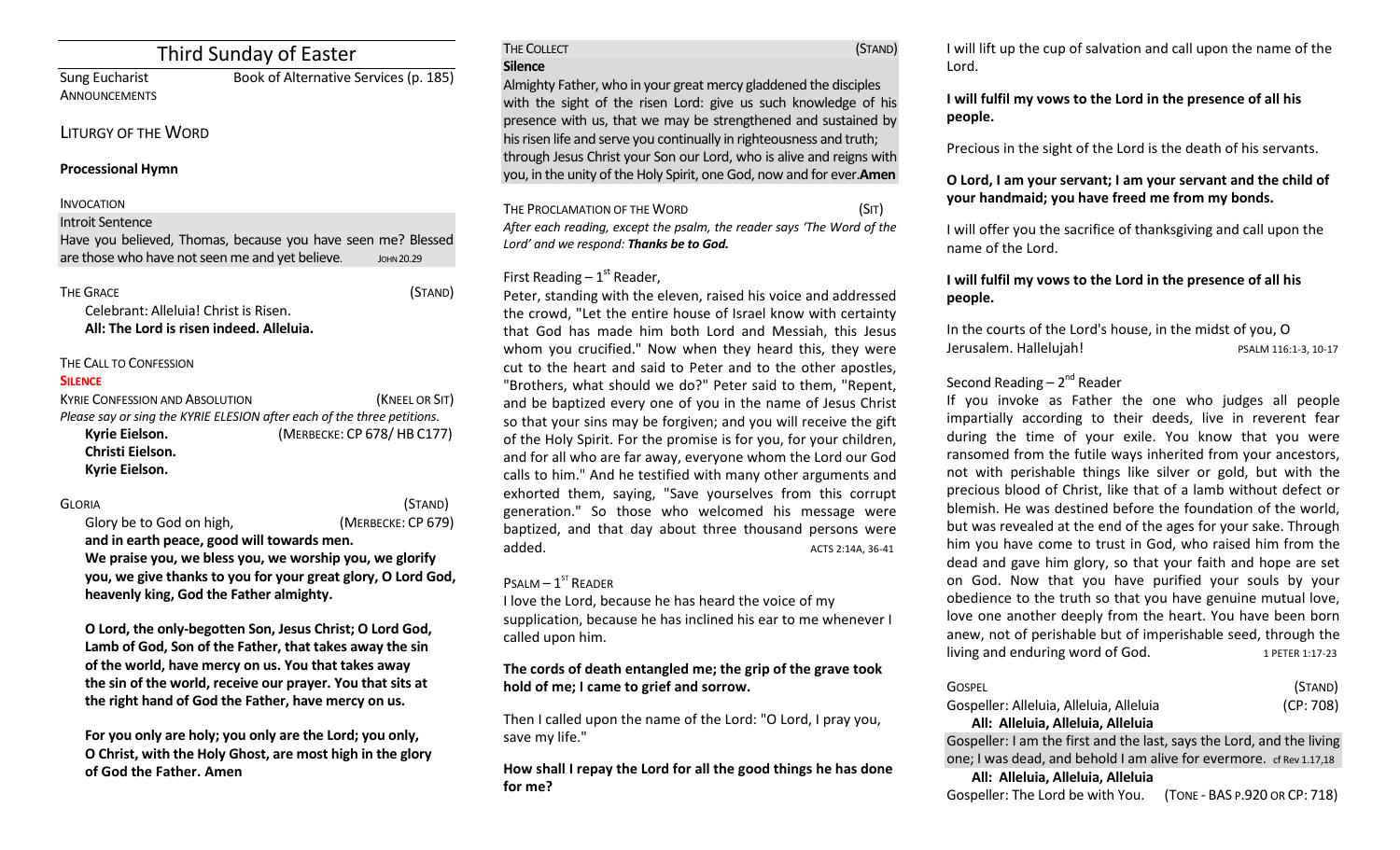# Third Sunday of Easter

ANNOUNCEMENTS

Sung Eucharist Book of Alternative Services (p. 185)

#### LITURGY OF THE WORD

#### **Processional Hymn**

#### INVOCATION

Introit Sentence

Have you believed, Thomas, because you have seen me? Blessed are those who have not seen me and yet believe. **JOHN 20.29** 

| <b>THE GRACE</b>                         | (STAND) |
|------------------------------------------|---------|
| Celebrant: Alleluia! Christ is Risen.    |         |
| All: The Lord is risen indeed. Alleluia. |         |

#### THE CALL TO CONFESSION

#### **SILENCE**

| <b>KYRIE CONFESSION AND ABSOLUTION</b>                                  | (KNEEL OR SIT)             |  |
|-------------------------------------------------------------------------|----------------------------|--|
| Please say or sing the KYRIE ELESION after each of the three petitions. |                            |  |
| Kyrie Eielson.                                                          | (MERBECKE: CP 678/HB C177) |  |
| Christi Eielson.                                                        |                            |  |
| Kyrie Eielson.                                                          |                            |  |

GLORIA (STAND) Glory be to God on high,(MERBECKE: CP 679)

**and in earth peace, good will towards men. We praise you, we bless you, we worship you, we glorify you, we give thanks to you for your great glory, O Lord God, heavenly king, God the Father almighty.** 

**O Lord, the only-begotten Son, Jesus Christ; O Lord God, Lamb of God, Son of the Father, that takes away the sin of the world, have mercy on us. You that takes away the sin of the world, receive our prayer. You that sits at the right hand of God the Father, have mercy on us.** 

**For you only are holy; you only are the Lord; you only, O Christ, with the Holy Ghost, are most high in the glory of God the Father. Amen**

THE COLLECT **THE COLLECT COLLECT COLLECT COLLECT COLLECT COLLECT COLLECT COLLECT COLLECT COLLECT Silence** Almighty Father, who in your great mercy gladdened the disciples with the sight of the risen Lord: give us such knowledge of his presence with us, that we may be strengthened and sustained by his risen life and serve you continually in righteousness and truth; through Jesus Christ your Son our Lord, who is alive and reigns with you, in the unity of the Holy Spirit, one God, now and for ever.**Amen**

THE PROCLAMATION OF THE WORD (SIT) *After each reading, except the psalm, the reader says 'The Word of the Lord' and we respond: Thanks be to God.* 

## First Reading  $-1<sup>st</sup>$  Reader,

Peter, standing with the eleven, raised his voice and addressed the crowd, "Let the entire house of Israel know with certainty that God has made him both Lord and Messiah, this Jesus whom you crucified." Now when they heard this, they were cut to the heart and said to Peter and to the other apostles, "Brothers, what should we do?" Peter said to them, "Repent, and be baptized every one of you in the name of Jesus Christ so that your sins may be forgiven; and you will receive the gift of the Holy Spirit. For the promise is for you, for your children, and for all who are far away, everyone whom the Lord our God calls to him." And he testified with many other arguments and exhorted them, saying, "Save yourselves from this corrupt generation." So those who welcomed his message were baptized, and that day about three thousand persons were added. ACTS 2:14A, 36-41

#### $P$ SALM  $-1$ <sup>ST</sup> READER

I love the Lord, because he has heard the voice of my supplication, because he has inclined his ear to me whenever I called upon him.

## **The cords of death entangled me; the grip of the grave took hold of me; I came to grief and sorrow.**

Then I called upon the name of the Lord: "O Lord, I pray you, save my life."

**How shall I repay the Lord for all the good things he has done for me?** 

I will lift up the cup of salvation and call upon the name of the Lord.

## **I will fulfil my vows to the Lord in the presence of all his people.**

Precious in the sight of the Lord is the death of his servants.

## **O Lord, I am your servant; I am your servant and the child of your handmaid; you have freed me from my bonds.**

I will offer you the sacrifice of thanksgiving and call upon the name of the Lord.

**I will fulfil my vows to the Lord in the presence of all his people.** 

In the courts of the Lord's house, in the midst of you, O Jerusalem. Hallelujah! PSALM 116:1-3, 10-17

## Second Reading – 2<sup>nd</sup> Reader

If you invoke as Father the one who judges all people impartially according to their deeds, live in reverent fear during the time of your exile. You know that you were ransomed from the futile ways inherited from your ancestors, not with perishable things like silver or gold, but with the precious blood of Christ, like that of a lamb without defect or blemish. He was destined before the foundation of the world, but was revealed at the end of the ages for your sake. Through him you have come to trust in God, who raised him from the dead and gave him glory, so that your faith and hope are set on God. Now that you have purified your souls by your obedience to the truth so that you have genuine mutual love, love one another deeply from the heart. You have been born anew, not of perishable but of imperishable seed, through the living and enduring word of God.  $1$  PETER 1:17-23

| GOSPEL<br>Gospeller: Alleluia, Alleluia, Alleluia<br>All: Alleluia, Alleluia, Alleluia                                                       | (STAND)<br>(CP: 708) |  |
|----------------------------------------------------------------------------------------------------------------------------------------------|----------------------|--|
| Gospeller: I am the first and the last, says the Lord, and the living<br>one; I was dead, and behold I am alive for evermore. cf Rev 1.17,18 |                      |  |
| All: Alleluia, Alleluia, Alleluia<br>Gospeller: The Lord be with You. (TONE - BAS P.920 OR CP: 718)                                          |                      |  |